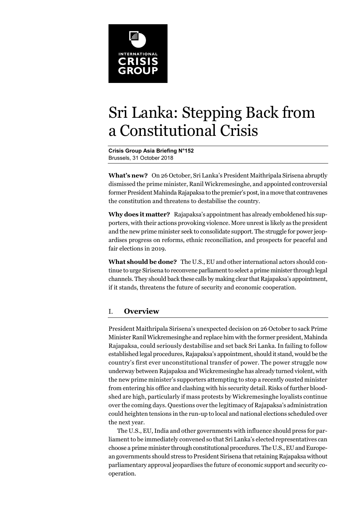

# Sri Lanka: Stepping Back from a Constitutional Crisis

**Crisis Group Asia Briefing N°152**  Brussels, 31 October 2018

**What's new?** On 26 October, Sri Lanka's President Maithripala Sirisena abruptly dismissed the prime minister, Ranil Wickremesinghe, and appointed controversial former President Mahinda Rajapaksa to the premier's post, in a move that contravenes the constitution and threatens to destabilise the country.

**Why does it matter?** Rajapaksa's appointment has already emboldened his supporters, with their actions provoking violence. More unrest is likely as the president and the new prime minister seek to consolidate support. The struggle for power jeopardises progress on reforms, ethnic reconciliation, and prospects for peaceful and fair elections in 2019.

**What should be done?** The U.S., EU and other international actors should continue to urge Sirisena to reconvene parliament to select a prime minister through legal channels. They should back these calls by making clear that Rajapaksa's appointment, if it stands, threatens the future of security and economic cooperation.

# I. **Overview**

President Maithripala Sirisena's unexpected decision on 26 October to sack Prime Minister Ranil Wickremesinghe and replace him with the former president, Mahinda Rajapaksa, could seriously destabilise and set back Sri Lanka. In failing to follow established legal procedures, Rajapaksa's appointment, should it stand, would be the country's first ever unconstitutional transfer of power. The power struggle now underway between Rajapaksa and Wickremesinghe has already turned violent, with the new prime minister's supporters attempting to stop a recently ousted minister from entering his office and clashing with his security detail. Risks of further bloodshed are high, particularly if mass protests by Wickremesinghe loyalists continue over the coming days. Questions over the legitimacy of Rajapaksa's administration could heighten tensions in the run-up to local and national elections scheduled over the next year.

The U.S., EU, India and other governments with influence should press for parliament to be immediately convened so that Sri Lanka's elected representatives can choose a prime minister through constitutional procedures. The U.S., EU and European governments should stress to President Sirisena that retaining Rajapaksa without parliamentary approval jeopardises the future of economic support and security cooperation.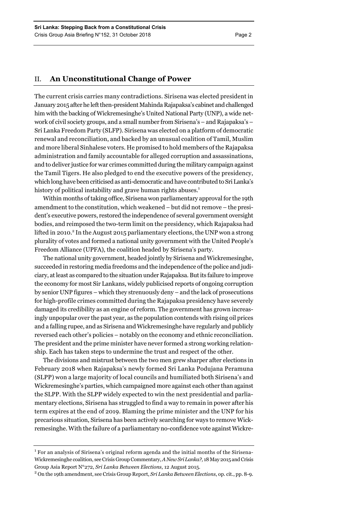# II. **An Unconstitutional Change of Power**

The current crisis carries many contradictions. Sirisena was elected president in January 2015 after he left then-president Mahinda Rajapaksa's cabinet and challenged him with the backing of Wickremesinghe's United National Party (UNP), a wide network of civil society groups, and a small number from Sirisena's – and Rajapaksa's – Sri Lanka Freedom Party (SLFP). Sirisena was elected on a platform of democratic renewal and reconciliation, and backed by an unusual coalition of Tamil, Muslim and more liberal Sinhalese voters. He promised to hold members of the Rajapaksa administration and family accountable for alleged corruption and assassinations, and to deliver justice for war crimes committed during the military campaign against the Tamil Tigers. He also pledged to end the executive powers of the presidency, which long have been criticised as anti-democratic and have contributed to Sri Lanka's history of political instability and grave human rights abuses.<sup>1</sup>

Within months of taking office, Sirisena won parliamentary approval for the 19th amendment to the constitution, which weakened – but did not remove – the president's executive powers, restored the independence of several government oversight bodies, and reimposed the two-term limit on the presidency, which Rajapaksa had lifted in 2010.<sup>2</sup> In the August 2015 parliamentary elections, the UNP won a strong plurality of votes and formed a national unity government with the United People's Freedom Alliance (UPFA), the coalition headed by Sirisena's party.

The national unity government, headed jointly by Sirisena and Wickremesinghe, succeeded in restoring media freedoms and the independence of the police and judiciary, at least as compared to the situation under Rajapaksa. But its failure to improve the economy for most Sir Lankans, widely publicised reports of ongoing corruption by senior UNP figures – which they strenuously deny – and the lack of prosecutions for high-profile crimes committed during the Rajapaksa presidency have severely damaged its credibility as an engine of reform. The government has grown increasingly unpopular over the past year, as the population contends with rising oil prices and a falling rupee, and as Sirisena and Wickremesinghe have regularly and publicly reversed each other's policies – notably on the economy and ethnic reconciliation. The president and the prime minister have never formed a strong working relationship. Each has taken steps to undermine the trust and respect of the other.

The divisions and mistrust between the two men grew sharper after elections in February 2018 when Rajapaksa's newly formed Sri Lanka Podujana Peramuna (SLPP) won a large majority of local councils and humiliated both Sirisena's and Wickremesinghe's parties, which campaigned more against each other than against the SLPP. With the SLPP widely expected to win the next presidential and parliamentary elections, Sirisena has struggled to find a way to remain in power after his term expires at the end of 2019. Blaming the prime minister and the UNP for his precarious situation, Sirisena has been actively searching for ways to remove Wickremesinghe. With the failure of a parliamentary no-confidence vote against Wickre-

 $1$  For an analysis of Sirisena's original reform agenda and the initial months of the Sirisena-Wickremesinghe coalition, see Crisis Group Commentary, *A New Sri Lanka?,* 18 May 2015 and Crisis Group Asia Report N°272, *Sri Lanka Between Elections*, 12 August 2015. 2

On the 19th amendment, see Crisis Group Report, *Sri Lanka Between Elections*, op. cit., pp. 8-9.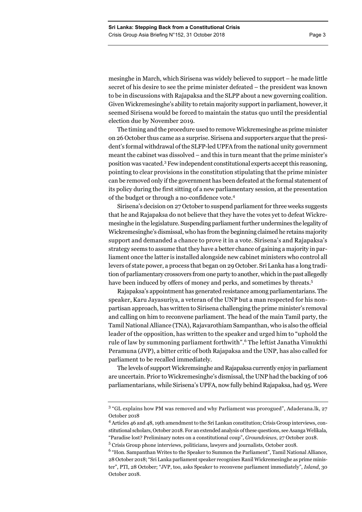mesinghe in March, which Sirisena was widely believed to support – he made little secret of his desire to see the prime minister defeated – the president was known to be in discussions with Rajapaksa and the SLPP about a new governing coalition. Given Wickremesinghe's ability to retain majority support in parliament, however, it seemed Sirisena would be forced to maintain the status quo until the presidential election due by November 2019.

The timing and the procedure used to remove Wickremesinghe as prime minister on 26 October thus came as a surprise. Sirisena and supporters argue that the president's formal withdrawal of the SLFP-led UPFA from the national unity government meant the cabinet was dissolved – and this in turn meant that the prime minister's position was vacated.3 Few independent constitutional experts accept this reasoning, pointing to clear provisions in the constitution stipulating that the prime minister can be removed only if the government has been defeated at the formal statement of its policy during the first sitting of a new parliamentary session, at the presentation of the budget or through a no-confidence vote.<sup>4</sup>

Sirisena's decision on 27 October to suspend parliament for three weeks suggests that he and Rajapaksa do not believe that they have the votes yet to defeat Wickremesinghe in the legislature. Suspending parliament further undermines the legality of Wickremesinghe's dismissal, who has from the beginning claimed he retains majority support and demanded a chance to prove it in a vote. Sirisena's and Rajapaksa's strategy seems to assume that they have a better chance of gaining a majority in parliament once the latter is installed alongside new cabinet ministers who control all levers of state power, a process that began on 29 October. Sri Lanka has a long tradition of parliamentary crossovers from one party to another, which in the past allegedly have been induced by offers of money and perks, and sometimes by threats.<sup>5</sup>

Rajapaksa's appointment has generated resistance among parliamentarians. The speaker, Karu Jayasuriya, a veteran of the UNP but a man respected for his nonpartisan approach, has written to Sirisena challenging the prime minister's removal and calling on him to reconvene parliament. The head of the main Tamil party, the Tamil National Alliance (TNA), Rajavarothiam Sampanthan, who is also the official leader of the opposition, has written to the speaker and urged him to "uphold the rule of law by summoning parliament forthwith".<sup>6</sup> The leftist Janatha Vimukthi Peramuna (JVP), a bitter critic of both Rajapaksa and the UNP, has also called for parliament to be recalled immediately.

The levels of support Wickremsinghe and Rajapaksa currently enjoy in parliament are uncertain. Prior to Wickremesinghe's dismissal, the UNP had the backing of 106 parliamentarians, while Sirisena's UPFA, now fully behind Rajapaksa, had 95. Were

<sup>&</sup>lt;sup>3</sup> "GL explains how PM was removed and why Parliament was prorogued", Adaderana.lk, 27 October 2018

<sup>4</sup> Articles 46 and 48, 19th amendment to the Sri Lankan constitution; Crisis Group interviews, constitutional scholars, October 2018. For an extended analysis of these questions, see Asanga Welikala, "Paradise lost? Preliminary notes on a constitutional coup", *Groundviews*, 27 October 2018.

<sup>5</sup> Crisis Group phone interviews, politicians, lawyers and journalists, October 2018.

<sup>&</sup>lt;sup>6</sup> "Hon. Sampanthan Writes to the Speaker to Summon the Parliament", Tamil National Alliance, 28 October 2018; "Sri Lanka parliament speaker recognises Ranil Wickremesinghe as prime minister", PTI, 28 October; "JVP, too, asks Speaker to reconvene parliament immediately", *Island*, 30 October 2018.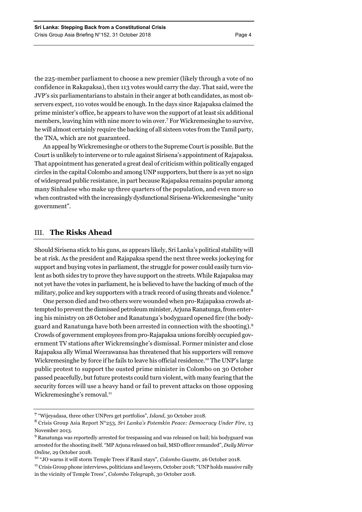the 225-member parliament to choose a new premier (likely through a vote of no confidence in Rakapaksa), then 113 votes would carry the day. That said, were the JVP's six parliamentarians to abstain in their anger at both candidates, as most observers expect, 110 votes would be enough. In the days since Rajapaksa claimed the prime minister's office, he appears to have won the support of at least six additional members, leaving him with nine more to win over.7 For Wickremesinghe to survive, he will almost certainly require the backing of all sixteen votes from the Tamil party, the TNA, which are not guaranteed.

An appeal by Wickremesinghe or others to the Supreme Court is possible. But the Court is unlikely to intervene or to rule against Sirisena's appointment of Rajapaksa. That appointment has generated a great deal of criticism within politically engaged circles in the capital Colombo and among UNP supporters, but there is as yet no sign of widespread public resistance, in part because Rajapaksa remains popular among many Sinhalese who make up three quarters of the population, and even more so when contrasted with the increasingly dysfunctional Sirisena-Wickremesinghe "unity government".

### III. **The Risks Ahead**

Should Sirisena stick to his guns, as appears likely, Sri Lanka's political stability will be at risk. As the president and Rajapaksa spend the next three weeks jockeying for support and buying votes in parliament, the struggle for power could easily turn violent as both sides try to prove they have support on the streets. While Rajapaksa may not yet have the votes in parliament, he is believed to have the backing of much of the military, police and key supporters with a track record of using threats and violence.<sup>8</sup>

One person died and two others were wounded when pro-Rajapaksa crowds attempted to prevent the dismissed petroleum minister, Arjuna Ranatunga, from entering his ministry on 28 October and Ranatunga's bodyguard opened fire (the bodyguard and Ranatunga have both been arrested in connection with the shooting).<sup>9</sup> Crowds of government employees from pro-Rajapaksa unions forcibly occupied government TV stations after Wickremsinghe's dismissal. Former minister and close Rajapaksa ally Wimal Weerawansa has threatened that his supporters will remove Wickremesinghe by force if he fails to leave his official residence.<sup>10</sup> The UNP's large public protest to support the ousted prime minister in Colombo on 30 October passed peacefully, but future protests could turn violent, with many fearing that the security forces will use a heavy hand or fail to prevent attacks on those opposing Wickremesinghe's removal.<sup>11</sup>

**<sup>7</sup>** "Wijeyadasa, three other UNPers get portfolios", *Island*, 30 October 2018.

<sup>8</sup> Crisis Group Asia Report N°253, *Sri Lanka's Potemkin Peace: Democracy Under Fire*, 13 November 2013.

<sup>&</sup>lt;sup>9</sup> Ranatunga was reportedly arrested for trespassing and was released on bail; his bodyguard was arrested for the shooting itself. "MP Arjuna released on bail, MSD officer remanded", *Daily Mirror*  Online, 29 October 2018.<br><sup>10</sup> "JO warns it will storm Temple Trees if Ranil stays", *Colombo Gazette*, 26 October 2018.<br><sup>11</sup> Crisis Group phone interviews, politicians and lawyers, October 2018; "UNP holds massive rally

in the vicinity of Temple Trees", *Colombo Telegraph*, 30 October 2018.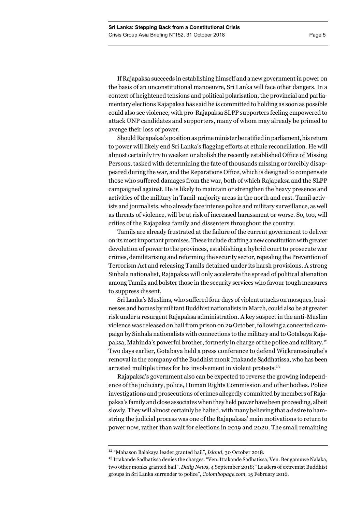If Rajapaksa succeeds in establishing himself and a new government in power on the basis of an unconstitutional manoeuvre, Sri Lanka will face other dangers. In a context of heightened tensions and political polarisation, the provincial and parliamentary elections Rajapaksa has said he is committed to holding as soon as possible could also see violence, with pro-Rajapaksa SLPP supporters feeling empowered to attack UNP candidates and supporters, many of whom may already be primed to avenge their loss of power.

Should Rajapaksa's position as prime minister be ratified in parliament, his return to power will likely end Sri Lanka's flagging efforts at ethnic reconciliation. He will almost certainly try to weaken or abolish the recently established Office of Missing Persons, tasked with determining the fate of thousands missing or forcibly disappeared during the war, and the Reparations Office, which is designed to compensate those who suffered damages from the war, both of which Rajapaksa and the SLPP campaigned against. He is likely to maintain or strengthen the heavy presence and activities of the military in Tamil-majority areas in the north and east. Tamil activists and journalists, who already face intense police and military surveillance, as well as threats of violence, will be at risk of increased harassment or worse. So, too, will critics of the Rajapaksa family and dissenters throughout the country.

Tamils are already frustrated at the failure of the current government to deliver on its most important promises. These include drafting a new constitution with greater devolution of power to the provinces, establishing a hybrid court to prosecute war crimes, demilitarising and reforming the security sector, repealing the Prevention of Terrorism Act and releasing Tamils detained under its harsh provisions. A strong Sinhala nationalist, Rajapaksa will only accelerate the spread of political alienation among Tamils and bolster those in the security services who favour tough measures to suppress dissent.

Sri Lanka's Muslims, who suffered four days of violent attacks on mosques, businesses and homes by militant Buddhist nationalists in March, could also be at greater risk under a resurgent Rajapaksa administration. A key suspect in the anti-Muslim violence was released on bail from prison on 29 October, following a concerted campaign by Sinhala nationalists with connections to the military and to Gotabaya Rajapaksa, Mahinda's powerful brother, formerly in charge of the police and military.12 Two days earlier, Gotabaya held a press conference to defend Wickremesinghe's removal in the company of the Buddhist monk Ittakande Saddhatissa, who has been arrested multiple times for his involvement in violent protests.<sup>13</sup>

Rajapaksa's government also can be expected to reverse the growing independence of the judiciary, police, Human Rights Commission and other bodies. Police investigations and prosecutions of crimes allegedly committed by members of Rajapaksa's family and close associates when they held power have been proceeding, albeit slowly. They will almost certainly be halted, with many believing that a desire to hamstring the judicial process was one of the Rajapaksas' main motivations to return to power now, rather than wait for elections in 2019 and 2020. The small remaining

<sup>12 &</sup>quot;Mahason Balakaya leader granted bail", *Island*, 30 October 2018.

<sup>&</sup>lt;sup>13</sup> Ittakande Sadhatissa denies the charges. "Ven. Ittakande Sadhatissa, Ven. Bengamuwe Nalaka, two other monks granted bail", *Daily News*, 4 September 2018; "Leaders of extremist Buddhist groups in Sri Lanka surrender to police", *Colombopage.com*, 15 February 2016.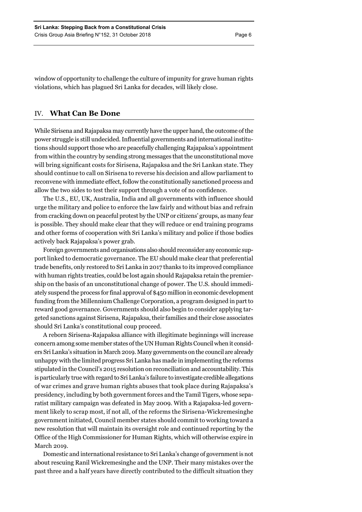window of opportunity to challenge the culture of impunity for grave human rights violations, which has plagued Sri Lanka for decades, will likely close.

# IV. **What Can Be Done**

While Sirisena and Rajapaksa may currently have the upper hand, the outcome of the power struggle is still undecided. Influential governments and international institutions should support those who are peacefully challenging Rajapaksa's appointment from within the country by sending strong messages that the unconstitutional move will bring significant costs for Sirisena, Rajapaksa and the Sri Lankan state. They should continue to call on Sirisena to reverse his decision and allow parliament to reconvene with immediate effect, follow the constitutionally sanctioned process and allow the two sides to test their support through a vote of no confidence.

The U.S., EU, UK, Australia, India and all governments with influence should urge the military and police to enforce the law fairly and without bias and refrain from cracking down on peaceful protest by the UNP or citizens' groups, as many fear is possible. They should make clear that they will reduce or end training programs and other forms of cooperation with Sri Lanka's military and police if those bodies actively back Rajapaksa's power grab.

Foreign governments and organisations also should reconsider any economic support linked to democratic governance. The EU should make clear that preferential trade benefits, only restored to Sri Lanka in 2017 thanks to its improved compliance with human rights treaties, could be lost again should Rajapaksa retain the premiership on the basis of an unconstitutional change of power. The U.S. should immediately suspend the process for final approval of \$450 million in economic development funding from the Millennium Challenge Corporation, a program designed in part to reward good governance. Governments should also begin to consider applying targeted sanctions against Sirisena, Rajapaksa, their families and their close associates should Sri Lanka's constitutional coup proceed.

A reborn Sirisena-Rajapaksa alliance with illegitimate beginnings will increase concern among some member states of the UN Human Rights Council when it considers Sri Lanka's situation in March 2019. Many governments on the council are already unhappy with the limited progress Sri Lanka has made in implementing the reforms stipulated in the Council's 2015 resolution on reconciliation and accountability. This is particularly true with regard to Sri Lanka's failure to investigate credible allegations of war crimes and grave human rights abuses that took place during Rajapaksa's presidency, including by both government forces and the Tamil Tigers, whose separatist military campaign was defeated in May 2009. With a Rajapaksa-led government likely to scrap most, if not all, of the reforms the Sirisena-Wickremesinghe government initiated, Council member states should commit to working toward a new resolution that will maintain its oversight role and continued reporting by the Office of the High Commissioner for Human Rights, which will otherwise expire in March 2019.

Domestic and international resistance to Sri Lanka's change of government is not about rescuing Ranil Wickremesinghe and the UNP. Their many mistakes over the past three and a half years have directly contributed to the difficult situation they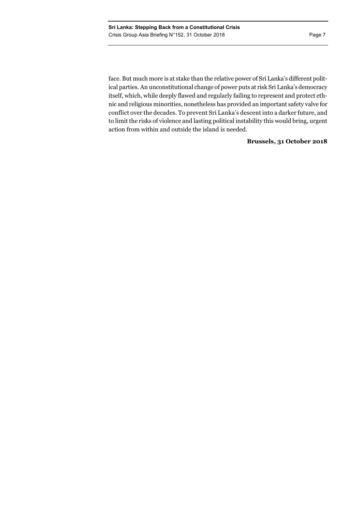action from within and outside the island is needed.

face. But much more is at stake than the relative power of Sri Lanka's different political parties. An unconstitutional change of power puts at risk Sri Lanka's democracy itself, which, while deeply flawed and regularly failing to represent and protect ethnic and religious minorities, nonetheless has provided an important safety valve for conflict over the decades. To prevent Sri Lanka's descent into a darker future, and

to limit the risks of violence and lasting political instability this would bring, urgent

# **Brussels, 31 October 2018**